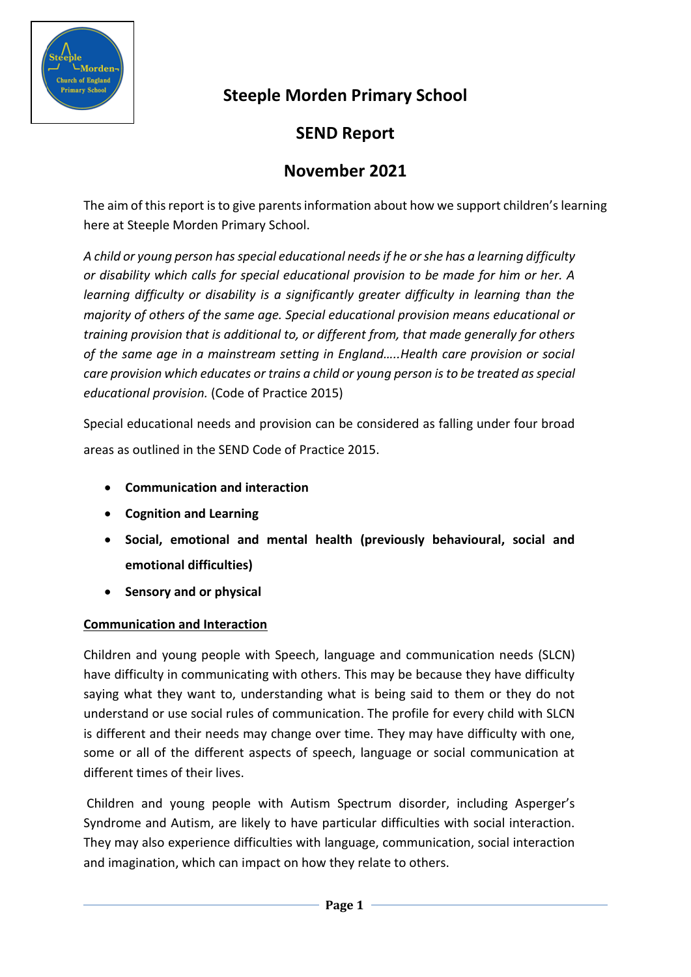

# **Steeple Morden Primary School**

# **SEND Report**

## **November 2021**

The aim of this report is to give parents information about how we support children's learning here at Steeple Morden Primary School.

*A child or young person has special educational needs if he or she has a learning difficulty or disability which calls for special educational provision to be made for him or her. A learning difficulty or disability is a significantly greater difficulty in learning than the majority of others of the same age. Special educational provision means educational or training provision that is additional to, or different from, that made generally for others of the same age in a mainstream setting in England…..Health care provision or social care provision which educates or trains a child or young person is to be treated as special educational provision.* (Code of Practice 2015)

Special educational needs and provision can be considered as falling under four broad areas as outlined in the SEND Code of Practice 2015.

- **Communication and interaction**
- **Cognition and Learning**
- **Social, emotional and mental health (previously behavioural, social and emotional difficulties)**
- **Sensory and or physical**

## **Communication and Interaction**

Children and young people with Speech, language and communication needs (SLCN) have difficulty in communicating with others. This may be because they have difficulty saying what they want to, understanding what is being said to them or they do not understand or use social rules of communication. The profile for every child with SLCN is different and their needs may change over time. They may have difficulty with one, some or all of the different aspects of speech, language or social communication at different times of their lives.

Children and young people with Autism Spectrum disorder, including Asperger's Syndrome and Autism, are likely to have particular difficulties with social interaction. They may also experience difficulties with language, communication, social interaction and imagination, which can impact on how they relate to others.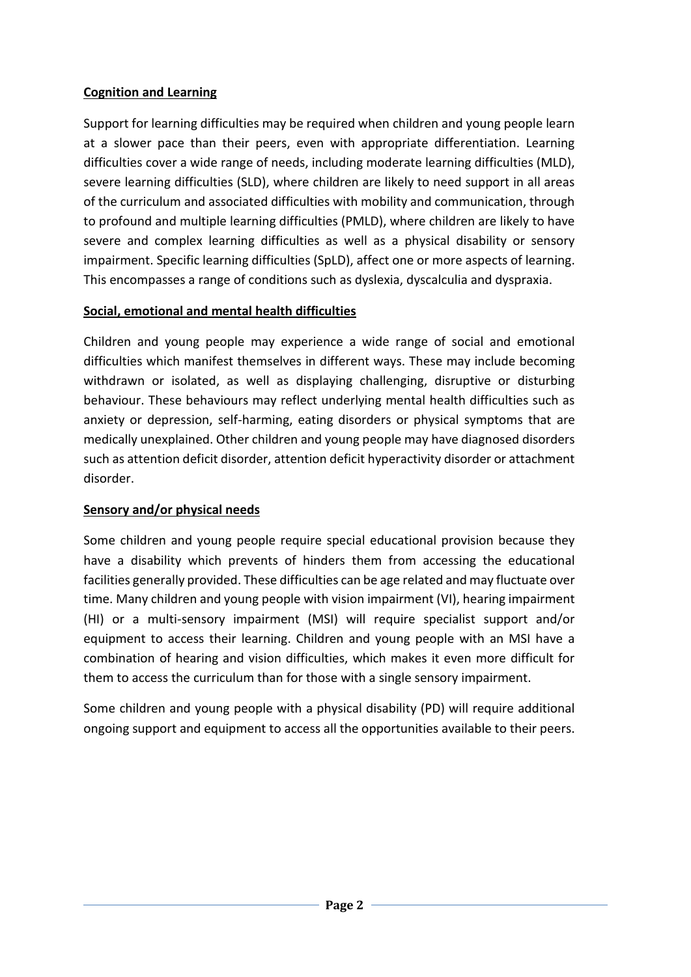## **Cognition and Learning**

Support for learning difficulties may be required when children and young people learn at a slower pace than their peers, even with appropriate differentiation. Learning difficulties cover a wide range of needs, including moderate learning difficulties (MLD), severe learning difficulties (SLD), where children are likely to need support in all areas of the curriculum and associated difficulties with mobility and communication, through to profound and multiple learning difficulties (PMLD), where children are likely to have severe and complex learning difficulties as well as a physical disability or sensory impairment. Specific learning difficulties (SpLD), affect one or more aspects of learning. This encompasses a range of conditions such as dyslexia, dyscalculia and dyspraxia.

## **Social, emotional and mental health difficulties**

Children and young people may experience a wide range of social and emotional difficulties which manifest themselves in different ways. These may include becoming withdrawn or isolated, as well as displaying challenging, disruptive or disturbing behaviour. These behaviours may reflect underlying mental health difficulties such as anxiety or depression, self-harming, eating disorders or physical symptoms that are medically unexplained. Other children and young people may have diagnosed disorders such as attention deficit disorder, attention deficit hyperactivity disorder or attachment disorder.

## **Sensory and/or physical needs**

Some children and young people require special educational provision because they have a disability which prevents of hinders them from accessing the educational facilities generally provided. These difficulties can be age related and may fluctuate over time. Many children and young people with vision impairment (VI), hearing impairment (HI) or a multi-sensory impairment (MSI) will require specialist support and/or equipment to access their learning. Children and young people with an MSI have a combination of hearing and vision difficulties, which makes it even more difficult for them to access the curriculum than for those with a single sensory impairment.

Some children and young people with a physical disability (PD) will require additional ongoing support and equipment to access all the opportunities available to their peers.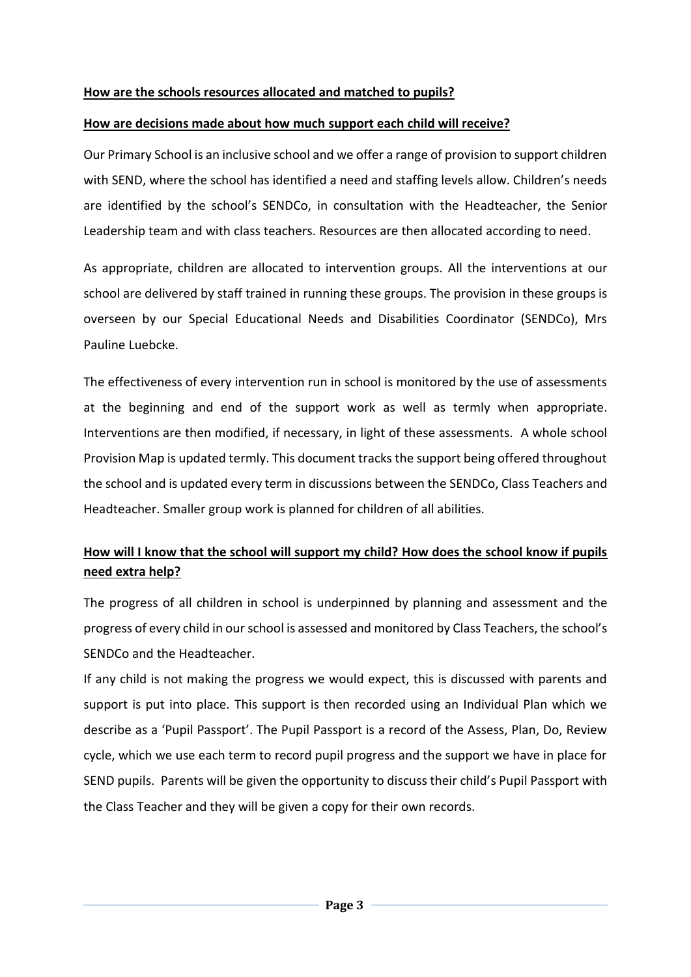#### **How are the schools resources allocated and matched to pupils?**

#### **How are decisions made about how much support each child will receive?**

Our Primary School is an inclusive school and we offer a range of provision to support children with SEND, where the school has identified a need and staffing levels allow. Children's needs are identified by the school's SENDCo, in consultation with the Headteacher, the Senior Leadership team and with class teachers. Resources are then allocated according to need.

As appropriate, children are allocated to intervention groups. All the interventions at our school are delivered by staff trained in running these groups. The provision in these groups is overseen by our Special Educational Needs and Disabilities Coordinator (SENDCo), Mrs Pauline Luebcke.

The effectiveness of every intervention run in school is monitored by the use of assessments at the beginning and end of the support work as well as termly when appropriate. Interventions are then modified, if necessary, in light of these assessments. A whole school Provision Map is updated termly. This document tracks the support being offered throughout the school and is updated every term in discussions between the SENDCo, Class Teachers and Headteacher. Smaller group work is planned for children of all abilities.

## **How will I know that the school will support my child? How does the school know if pupils need extra help?**

The progress of all children in school is underpinned by planning and assessment and the progress of every child in our school is assessed and monitored by Class Teachers, the school's SENDCo and the Headteacher.

If any child is not making the progress we would expect, this is discussed with parents and support is put into place. This support is then recorded using an Individual Plan which we describe as a 'Pupil Passport'. The Pupil Passport is a record of the Assess, Plan, Do, Review cycle, which we use each term to record pupil progress and the support we have in place for SEND pupils. Parents will be given the opportunity to discuss their child's Pupil Passport with the Class Teacher and they will be given a copy for their own records.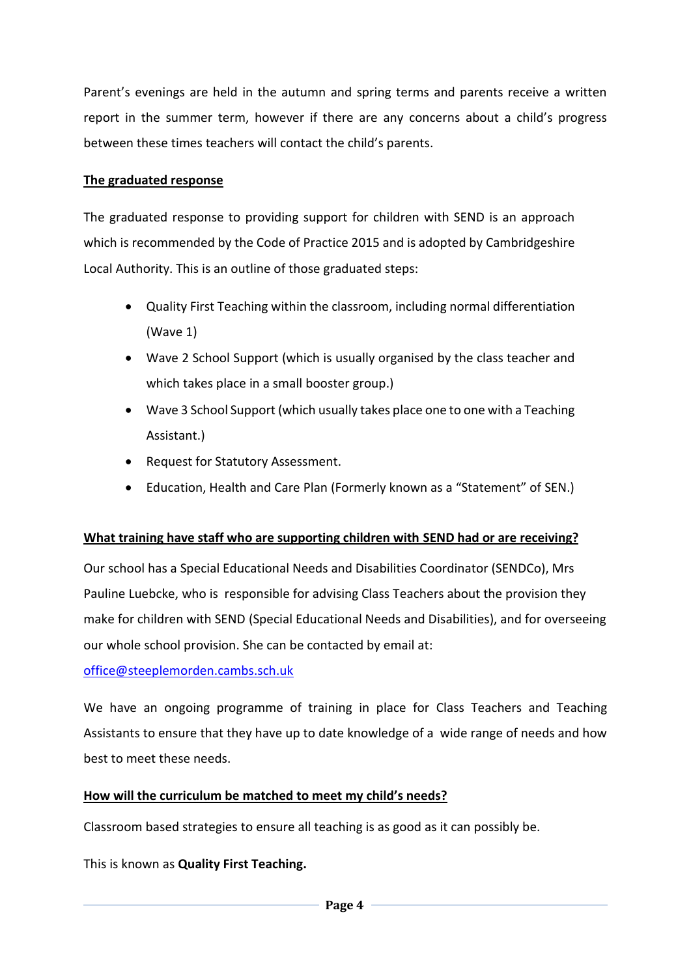Parent's evenings are held in the autumn and spring terms and parents receive a written report in the summer term, however if there are any concerns about a child's progress between these times teachers will contact the child's parents.

## **The graduated response**

The graduated response to providing support for children with SEND is an approach which is recommended by the Code of Practice 2015 and is adopted by Cambridgeshire Local Authority. This is an outline of those graduated steps:

- Quality First Teaching within the classroom, including normal differentiation (Wave 1)
- Wave 2 School Support (which is usually organised by the class teacher and which takes place in a small booster group.)
- Wave 3 School Support (which usually takes place one to one with a Teaching Assistant.)
- Request for Statutory Assessment.
- Education, Health and Care Plan (Formerly known as a "Statement" of SEN.)

## **What training have staff who are supporting children with SEND had or are receiving?**

Our school has a Special Educational Needs and Disabilities Coordinator (SENDCo), Mrs Pauline Luebcke, who is responsible for advising Class Teachers about the provision they make for children with SEND (Special Educational Needs and Disabilities), and for overseeing our whole school provision. She can be contacted by email at:

[office@steeplemorden.cambs.sch.uk](mailto:office@steeplemorden.cambs.sch.uk)

We have an ongoing programme of training in place for Class Teachers and Teaching Assistants to ensure that they have up to date knowledge of a wide range of needs and how best to meet these needs.

## **How will the curriculum be matched to meet my child's needs?**

Classroom based strategies to ensure all teaching is as good as it can possibly be.

This is known as **Quality First Teaching.**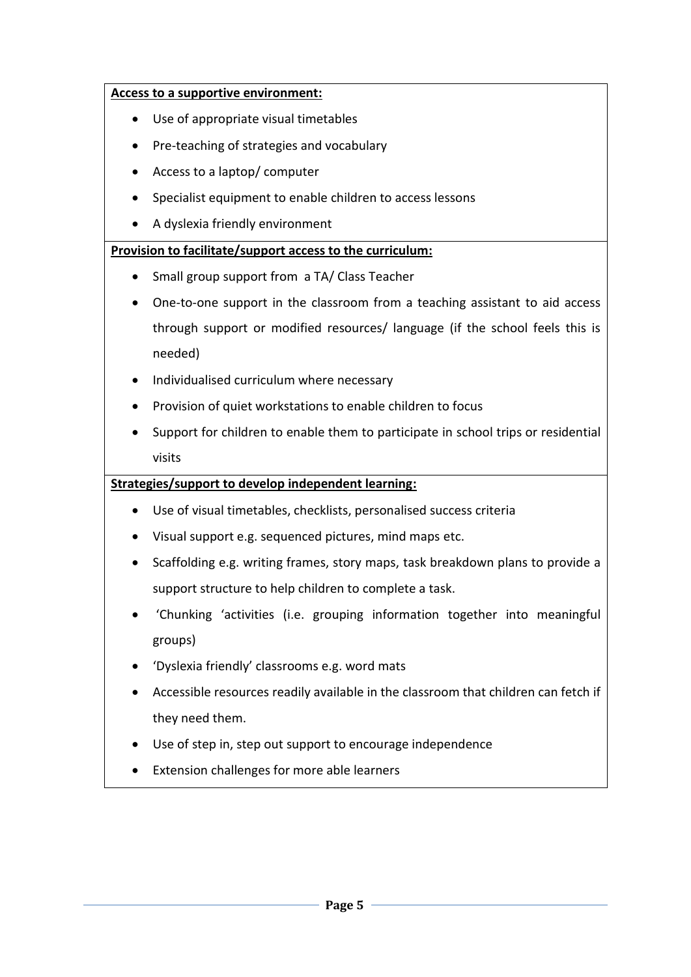#### **Access to a supportive environment:**

- Use of appropriate visual timetables
- Pre-teaching of strategies and vocabulary
- Access to a laptop/ computer
- Specialist equipment to enable children to access lessons
- A dyslexia friendly environment

## **Provision to facilitate/support access to the curriculum:**

- Small group support from a TA/ Class Teacher
- One-to-one support in the classroom from a teaching assistant to aid access through support or modified resources/ language (if the school feels this is needed)
- Individualised curriculum where necessary
- Provision of quiet workstations to enable children to focus
- Support for children to enable them to participate in school trips or residential visits

## **Strategies/support to develop independent learning:**

- Use of visual timetables, checklists, personalised success criteria
- Visual support e.g. sequenced pictures, mind maps etc.
- Scaffolding e.g. writing frames, story maps, task breakdown plans to provide a support structure to help children to complete a task.
- 'Chunking 'activities (i.e. grouping information together into meaningful groups)
- 'Dyslexia friendly' classrooms e.g. word mats
- Accessible resources readily available in the classroom that children can fetch if they need them.
- Use of step in, step out support to encourage independence
- Extension challenges for more able learners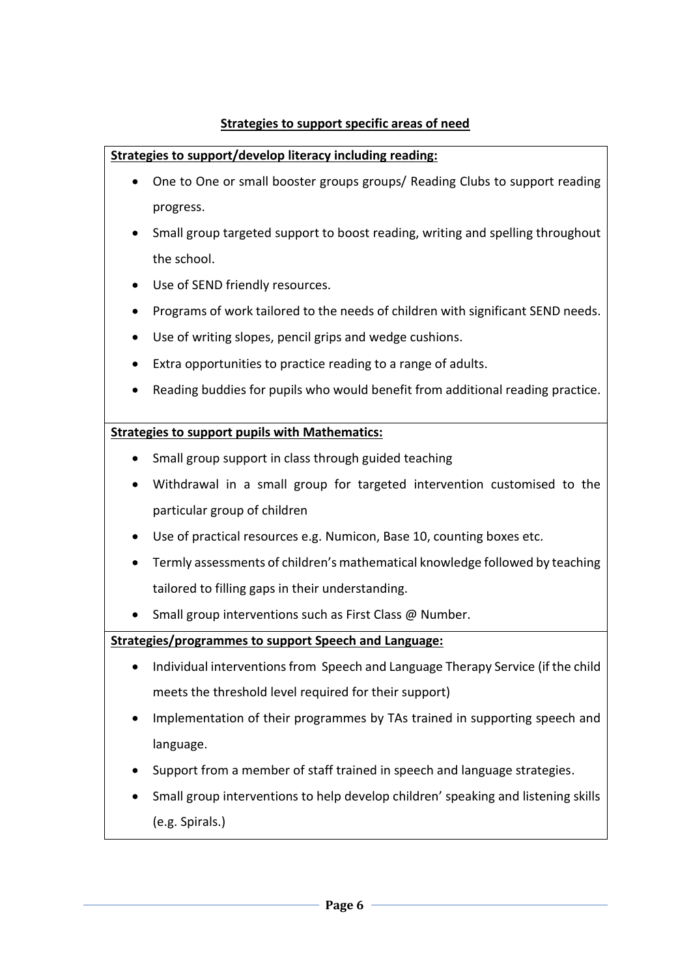## **Strategies to support specific areas of need**

## **Strategies to support/develop literacy including reading:**

- One to One or small booster groups groups/ Reading Clubs to support reading progress.
- Small group targeted support to boost reading, writing and spelling throughout the school.
- Use of SEND friendly resources.
- Programs of work tailored to the needs of children with significant SEND needs.
- Use of writing slopes, pencil grips and wedge cushions.
- Extra opportunities to practice reading to a range of adults.
- Reading buddies for pupils who would benefit from additional reading practice.

## **Strategies to support pupils with Mathematics:**

- Small group support in class through guided teaching
- Withdrawal in a small group for targeted intervention customised to the particular group of children
- Use of practical resources e.g. Numicon, Base 10, counting boxes etc.
- Termly assessments of children's mathematical knowledge followed by teaching tailored to filling gaps in their understanding.
- Small group interventions such as First Class @ Number.

## **Strategies/programmes to support Speech and Language:**

- Individual interventions from Speech and Language Therapy Service (if the child meets the threshold level required for their support)
- Implementation of their programmes by TAs trained in supporting speech and language.
- Support from a member of staff trained in speech and language strategies.
- Small group interventions to help develop children' speaking and listening skills (e.g. Spirals.)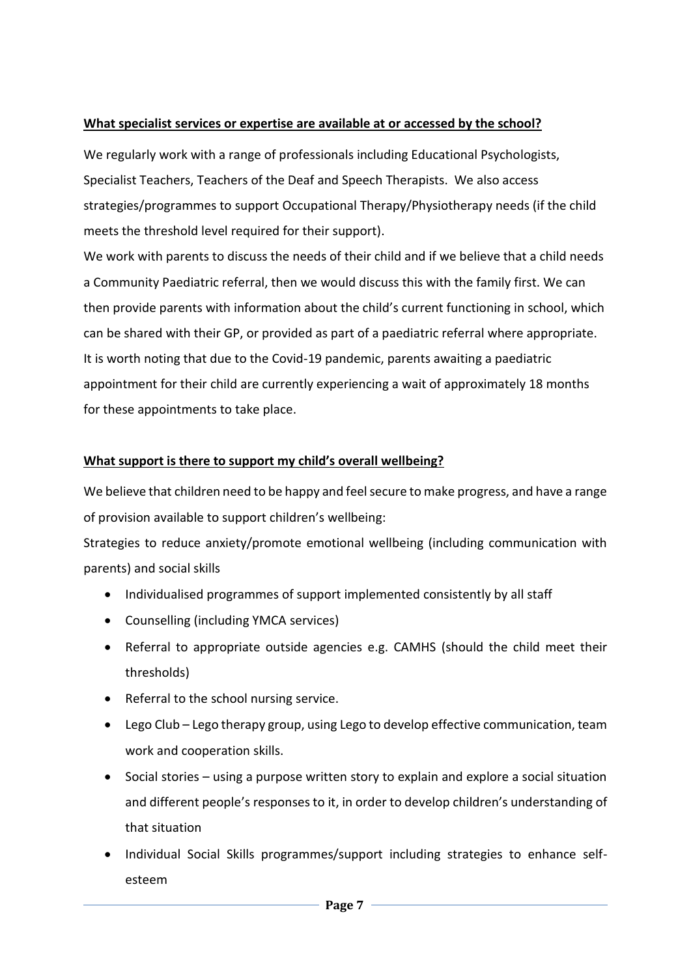#### **What specialist services or expertise are available at or accessed by the school?**

We regularly work with a range of professionals including Educational Psychologists, Specialist Teachers, Teachers of the Deaf and Speech Therapists. We also access strategies/programmes to support Occupational Therapy/Physiotherapy needs (if the child meets the threshold level required for their support).

We work with parents to discuss the needs of their child and if we believe that a child needs a Community Paediatric referral, then we would discuss this with the family first. We can then provide parents with information about the child's current functioning in school, which can be shared with their GP, or provided as part of a paediatric referral where appropriate. It is worth noting that due to the Covid-19 pandemic, parents awaiting a paediatric appointment for their child are currently experiencing a wait of approximately 18 months for these appointments to take place.

## **What support is there to support my child's overall wellbeing?**

We believe that children need to be happy and feel secure to make progress, and have a range of provision available to support children's wellbeing:

Strategies to reduce anxiety/promote emotional wellbeing (including communication with parents) and social skills

- Individualised programmes of support implemented consistently by all staff
- Counselling (including YMCA services)
- Referral to appropriate outside agencies e.g. CAMHS (should the child meet their thresholds)
- Referral to the school nursing service.
- Lego Club Lego therapy group, using Lego to develop effective communication, team work and cooperation skills.
- Social stories using a purpose written story to explain and explore a social situation and different people's responses to it, in order to develop children's understanding of that situation
- Individual Social Skills programmes/support including strategies to enhance selfesteem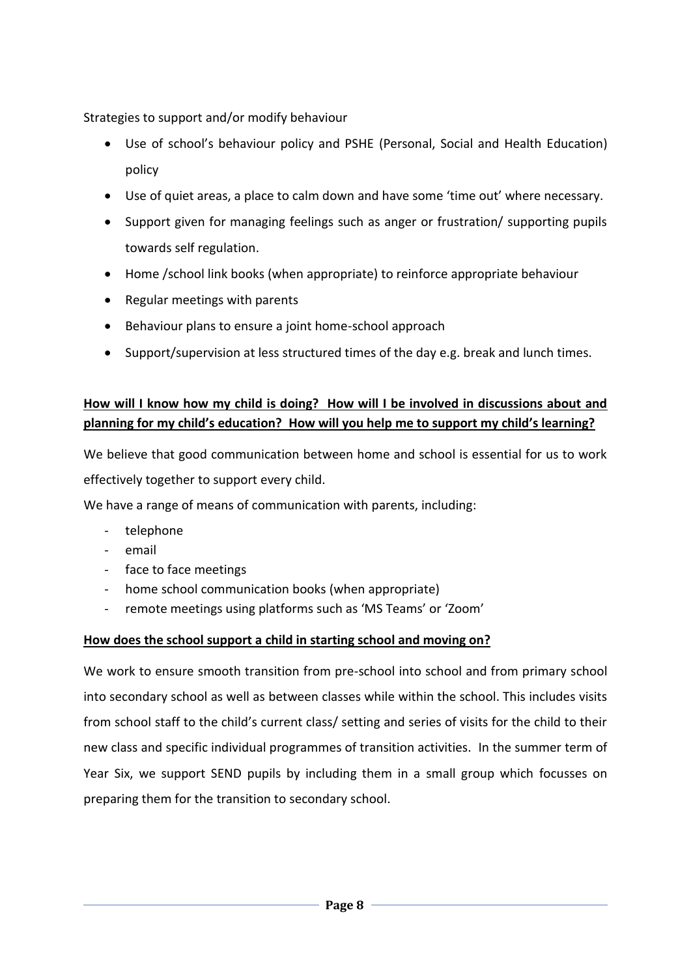Strategies to support and/or modify behaviour

- Use of school's behaviour policy and PSHE (Personal, Social and Health Education) policy
- Use of quiet areas, a place to calm down and have some 'time out' where necessary.
- Support given for managing feelings such as anger or frustration/ supporting pupils towards self regulation.
- Home /school link books (when appropriate) to reinforce appropriate behaviour
- Regular meetings with parents
- Behaviour plans to ensure a joint home-school approach
- Support/supervision at less structured times of the day e.g. break and lunch times.

## **How will I know how my child is doing? How will I be involved in discussions about and planning for my child's education? How will you help me to support my child's learning?**

We believe that good communication between home and school is essential for us to work effectively together to support every child.

We have a range of means of communication with parents, including:

- telephone
- email
- face to face meetings
- home school communication books (when appropriate)
- remote meetings using platforms such as 'MS Teams' or 'Zoom'

## **How does the school support a child in starting school and moving on?**

We work to ensure smooth transition from pre-school into school and from primary school into secondary school as well as between classes while within the school. This includes visits from school staff to the child's current class/ setting and series of visits for the child to their new class and specific individual programmes of transition activities. In the summer term of Year Six, we support SEND pupils by including them in a small group which focusses on preparing them for the transition to secondary school.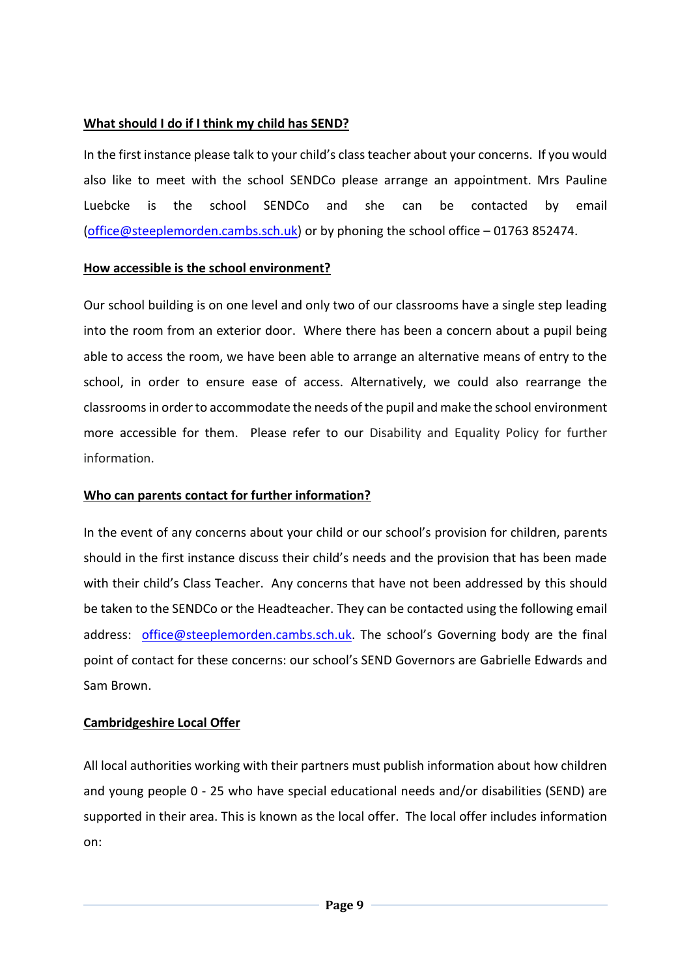## **What should I do if I think my child has SEND?**

In the first instance please talk to your child's class teacher about your concerns. If you would also like to meet with the school SENDCo please arrange an appointment. Mrs Pauline Luebcke is the school SENDCo and she can be contacted by email [\(office@steeplemorden.cambs.sch.uk\)](mailto:office@steeplemorden.cambs.sch.uk) or by phoning the school office – 01763 852474.

#### **How accessible is the school environment?**

Our school building is on one level and only two of our classrooms have a single step leading into the room from an exterior door. Where there has been a concern about a pupil being able to access the room, we have been able to arrange an alternative means of entry to the school, in order to ensure ease of access. Alternatively, we could also rearrange the classrooms in order to accommodate the needs of the pupil and make the school environment more accessible for them. Please refer to our Disability and Equality Policy for further information.

#### **Who can parents contact for further information?**

In the event of any concerns about your child or our school's provision for children, parents should in the first instance discuss their child's needs and the provision that has been made with their child's Class Teacher. Any concerns that have not been addressed by this should be taken to the SENDCo or the Headteacher. They can be contacted using the following email address: [office@steeplemorden.cambs.sch.uk.](mailto:office@steeplemorden.cambs.sch.uk) The school's Governing body are the final point of contact for these concerns: our school's SEND Governors are Gabrielle Edwards and Sam Brown.

## **Cambridgeshire Local Offer**

All local authorities working with their partners must publish information about how children and young people 0 - 25 who have special educational needs and/or disabilities (SEND) are supported in their area. This is known as the local offer. The local offer includes information on: